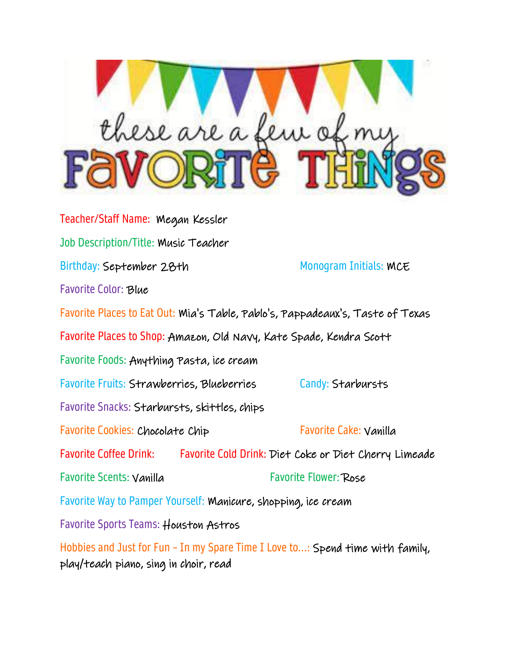

Teacher/Staff Name: Megan Kessler Job Description/Title: Music Teacher Birthday: September 28th Monogram Initials: MCE Favorite Color: Blue Favorite Places to Eat Out: Mia's Table, Pablo's, Pappadeaux's, Taste of Texas Favorite Places to Shop: Amazon, Old Navy, Kate Spade, Kendra Scott Favorite Foods: Anything Pasta, ice cream Favorite Fruits: Strawberries, Blueberries Candy: Starbursts Favorite Snacks: Starbursts, skittles, chips Favorite Cookies: Chocolate Chip Favorite Cake: Vanilla Favorite Coffee Drink: Favorite Cold Drink: Diet Coke or Diet Cherry Limeade Favorite Scents: Vanilla Favorite Flower: Rose Favorite Way to Pamper Yourself: Manicure, shopping, ice cream Favorite Sports Teams: Houston Astros Hobbies and Just for Fun - In my Spare Time I Love to...: Spend time with family, play/teach piano, sing in choir, read